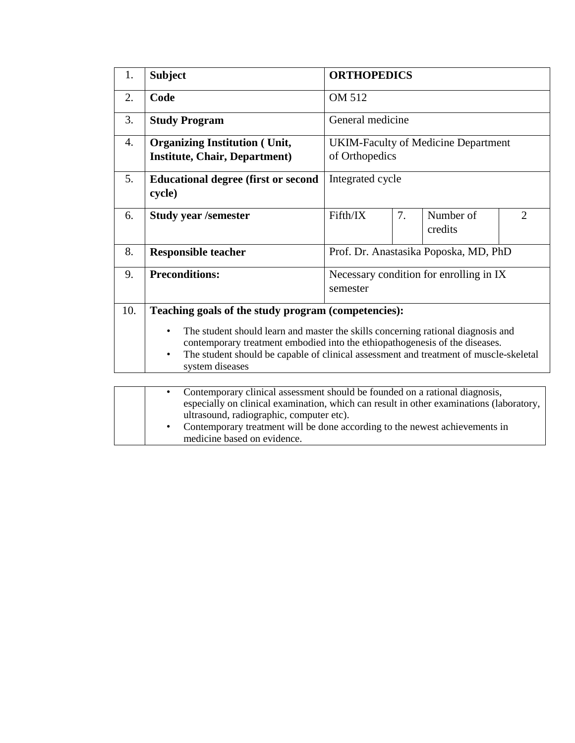| 1.               | <b>ORTHOPEDICS</b><br><b>Subject</b>                                                                                                                                                                                                                                                                                                                       |                                                     |    |                      |                |  |  |  |
|------------------|------------------------------------------------------------------------------------------------------------------------------------------------------------------------------------------------------------------------------------------------------------------------------------------------------------------------------------------------------------|-----------------------------------------------------|----|----------------------|----------------|--|--|--|
| 2.               | Code                                                                                                                                                                                                                                                                                                                                                       | OM 512                                              |    |                      |                |  |  |  |
| 3.               | <b>Study Program</b>                                                                                                                                                                                                                                                                                                                                       | General medicine                                    |    |                      |                |  |  |  |
| $\overline{4}$ . | <b>Organizing Institution (Unit,</b><br><b>UKIM-Faculty of Medicine Department</b><br><b>Institute, Chair, Department)</b><br>of Orthopedics                                                                                                                                                                                                               |                                                     |    |                      |                |  |  |  |
| 5.               | <b>Educational degree (first or second)</b><br>cycle)                                                                                                                                                                                                                                                                                                      | Integrated cycle                                    |    |                      |                |  |  |  |
| 6.               | <b>Study year /semester</b>                                                                                                                                                                                                                                                                                                                                | Fifth/IX                                            | 7. | Number of<br>credits | $\overline{2}$ |  |  |  |
| 8.               | Prof. Dr. Anastasika Poposka, MD, PhD<br><b>Responsible teacher</b>                                                                                                                                                                                                                                                                                        |                                                     |    |                      |                |  |  |  |
| 9.               | <b>Preconditions:</b>                                                                                                                                                                                                                                                                                                                                      | Necessary condition for enrolling in IX<br>semester |    |                      |                |  |  |  |
| 10.              | Teaching goals of the study program (competencies):                                                                                                                                                                                                                                                                                                        |                                                     |    |                      |                |  |  |  |
|                  | The student should learn and master the skills concerning rational diagnosis and<br>٠<br>contemporary treatment embodied into the ethiopathogenesis of the diseases.<br>The student should be capable of clinical assessment and treatment of muscle-skeletal<br>$\bullet$<br>system diseases                                                              |                                                     |    |                      |                |  |  |  |
|                  | Contemporary clinical assessment should be founded on a rational diagnosis,<br>$\bullet$<br>especially on clinical examination, which can result in other examinations (laboratory,<br>ultrasound, radiographic, computer etc).<br>Contemporary treatment will be done according to the newest achievements in<br>$\bullet$<br>medicine based on evidence. |                                                     |    |                      |                |  |  |  |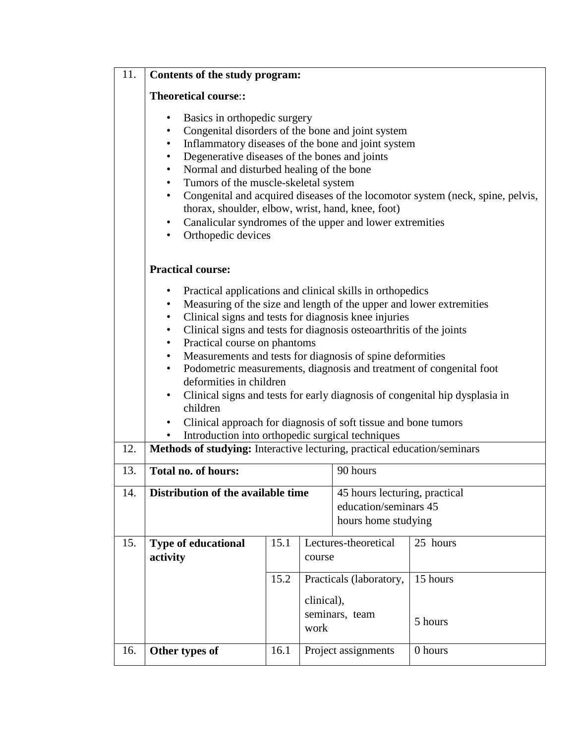| 11.               | Contents of the study program:                                                                                                                                                                                                                                                                                                                                                                                                                                                                                                                                                                                                                                                                                                                                                                                                                                                                                                                                                                  |      |                                      |                                             |          |  |  |  |  |
|-------------------|-------------------------------------------------------------------------------------------------------------------------------------------------------------------------------------------------------------------------------------------------------------------------------------------------------------------------------------------------------------------------------------------------------------------------------------------------------------------------------------------------------------------------------------------------------------------------------------------------------------------------------------------------------------------------------------------------------------------------------------------------------------------------------------------------------------------------------------------------------------------------------------------------------------------------------------------------------------------------------------------------|------|--------------------------------------|---------------------------------------------|----------|--|--|--|--|
|                   | <b>Theoretical course::</b>                                                                                                                                                                                                                                                                                                                                                                                                                                                                                                                                                                                                                                                                                                                                                                                                                                                                                                                                                                     |      |                                      |                                             |          |  |  |  |  |
|                   | Basics in orthopedic surgery<br>$\bullet$<br>Congenital disorders of the bone and joint system<br>$\bullet$<br>Inflammatory diseases of the bone and joint system<br>٠<br>Degenerative diseases of the bones and joints<br>$\bullet$<br>Normal and disturbed healing of the bone<br>$\bullet$<br>Tumors of the muscle-skeletal system<br>$\bullet$<br>Congenital and acquired diseases of the locomotor system (neck, spine, pelvis,<br>$\bullet$<br>thorax, shoulder, elbow, wrist, hand, knee, foot)<br>Canalicular syndromes of the upper and lower extremities<br>$\bullet$<br>Orthopedic devices<br>$\bullet$                                                                                                                                                                                                                                                                                                                                                                              |      |                                      |                                             |          |  |  |  |  |
|                   | <b>Practical course:</b>                                                                                                                                                                                                                                                                                                                                                                                                                                                                                                                                                                                                                                                                                                                                                                                                                                                                                                                                                                        |      |                                      |                                             |          |  |  |  |  |
| 12.<br>13.<br>14. | Practical applications and clinical skills in orthopedics<br>$\bullet$<br>Measuring of the size and length of the upper and lower extremities<br>٠<br>Clinical signs and tests for diagnosis knee injuries<br>٠<br>Clinical signs and tests for diagnosis osteoarthritis of the joints<br>$\bullet$<br>Practical course on phantoms<br>$\bullet$<br>Measurements and tests for diagnosis of spine deformities<br>$\bullet$<br>Podometric measurements, diagnosis and treatment of congenital foot<br>٠<br>deformities in children<br>Clinical signs and tests for early diagnosis of congenital hip dysplasia in<br>٠<br>children<br>Clinical approach for diagnosis of soft tissue and bone tumors<br>٠<br>Introduction into orthopedic surgical techniques<br>$\bullet$<br>Methods of studying: Interactive lecturing, practical education/seminars<br><b>Total no. of hours:</b><br>90 hours<br>Distribution of the available time<br>45 hours lecturing, practical<br>education/seminars 45 |      |                                      |                                             |          |  |  |  |  |
| 15.               | <b>Type of educational</b>                                                                                                                                                                                                                                                                                                                                                                                                                                                                                                                                                                                                                                                                                                                                                                                                                                                                                                                                                                      | 15.1 |                                      | hours home studying<br>Lectures-theoretical | 25 hours |  |  |  |  |
|                   | activity                                                                                                                                                                                                                                                                                                                                                                                                                                                                                                                                                                                                                                                                                                                                                                                                                                                                                                                                                                                        |      | course                               |                                             |          |  |  |  |  |
|                   |                                                                                                                                                                                                                                                                                                                                                                                                                                                                                                                                                                                                                                                                                                                                                                                                                                                                                                                                                                                                 | 15.2 | Practicals (laboratory,              |                                             | 15 hours |  |  |  |  |
|                   |                                                                                                                                                                                                                                                                                                                                                                                                                                                                                                                                                                                                                                                                                                                                                                                                                                                                                                                                                                                                 |      | clinical),<br>seminars, team<br>work |                                             | 5 hours  |  |  |  |  |
| 16.               | Other types of                                                                                                                                                                                                                                                                                                                                                                                                                                                                                                                                                                                                                                                                                                                                                                                                                                                                                                                                                                                  | 16.1 | 0 hours<br>Project assignments       |                                             |          |  |  |  |  |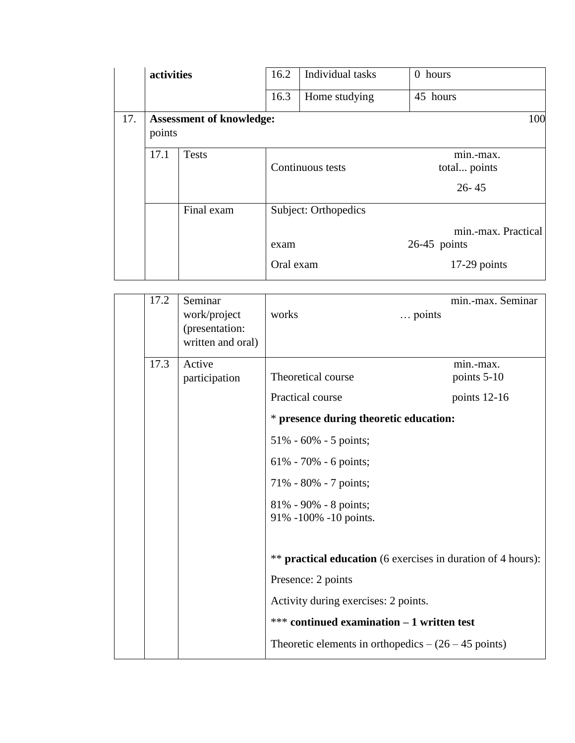|                                                  | activities |              | 16.2              | Individual tasks     | 0 hours                                                 |  |
|--------------------------------------------------|------------|--------------|-------------------|----------------------|---------------------------------------------------------|--|
|                                                  | 16.3       |              |                   | Home studying        | 45 hours                                                |  |
| 17.<br><b>Assessment of knowledge:</b><br>points |            |              |                   | 100                  |                                                         |  |
|                                                  | 17.1       | <b>Tests</b> |                   | Continuous tests     | min.-max.<br>total points<br>$26 - 45$                  |  |
|                                                  |            | Final exam   | exam<br>Oral exam | Subject: Orthopedics | min.-max. Practical<br>$26-45$ points<br>$17-29$ points |  |

| 17.2 | Seminar<br>work/project<br>(presentation:<br>written and oral) | works<br>points                                                     | min.-max. Seminar        |
|------|----------------------------------------------------------------|---------------------------------------------------------------------|--------------------------|
|      |                                                                |                                                                     |                          |
| 17.3 | Active<br>participation                                        | Theoretical course                                                  | min.-max.<br>points 5-10 |
|      |                                                                | Practical course                                                    | points $12-16$           |
|      |                                                                | * presence during theoretic education:                              |                          |
|      |                                                                | $51\% - 60\% - 5$ points;                                           |                          |
|      |                                                                | $61\% - 70\% - 6$ points;                                           |                          |
|      |                                                                | 71% - 80% - 7 points;                                               |                          |
|      |                                                                | $81\% - 90\% - 8$ points;<br>91% -100% -10 points.                  |                          |
|      |                                                                |                                                                     |                          |
|      |                                                                | ** <b>practical education</b> (6 exercises in duration of 4 hours): |                          |
|      |                                                                | Presence: 2 points                                                  |                          |
|      |                                                                | Activity during exercises: 2 points.                                |                          |
|      |                                                                | *** continued examination - 1 written test                          |                          |
|      |                                                                | Theoretic elements in orthopedics $-(26-45 \text{ points})$         |                          |
|      |                                                                |                                                                     |                          |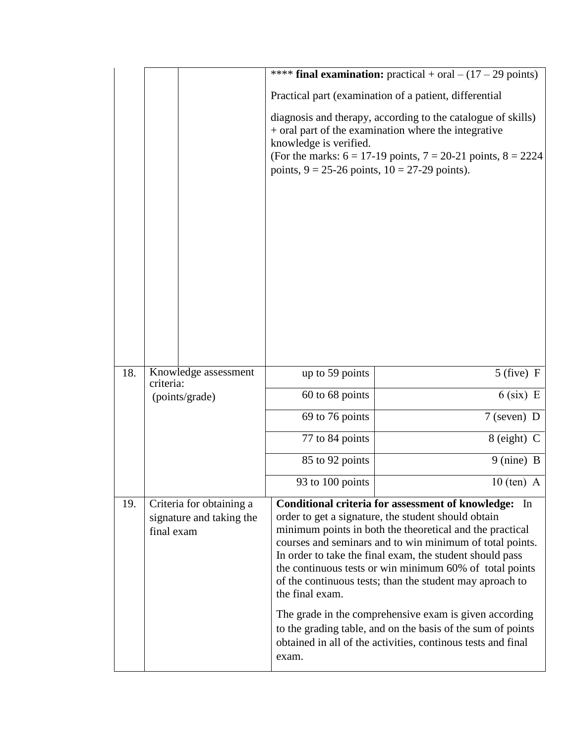|     |                                                                    |                                                                                                                                                                                                                                                                           | **** final examination: practical + oral $- (17 - 29 \text{ points})$                                                                                                                                                                                                                                                                                                                                                                                                                                                                                                                                                         |  |  |  |  |
|-----|--------------------------------------------------------------------|---------------------------------------------------------------------------------------------------------------------------------------------------------------------------------------------------------------------------------------------------------------------------|-------------------------------------------------------------------------------------------------------------------------------------------------------------------------------------------------------------------------------------------------------------------------------------------------------------------------------------------------------------------------------------------------------------------------------------------------------------------------------------------------------------------------------------------------------------------------------------------------------------------------------|--|--|--|--|
|     |                                                                    | Practical part (examination of a patient, differential                                                                                                                                                                                                                    |                                                                                                                                                                                                                                                                                                                                                                                                                                                                                                                                                                                                                               |  |  |  |  |
|     |                                                                    | diagnosis and therapy, according to the catalogue of skills)<br>+ oral part of the examination where the integrative<br>knowledge is verified.<br>(For the marks: $6 = 17-19$ points, $7 = 20-21$ points, $8 = 2224$<br>points, $9 = 25-26$ points, $10 = 27-29$ points). |                                                                                                                                                                                                                                                                                                                                                                                                                                                                                                                                                                                                                               |  |  |  |  |
| 18. | Knowledge assessment                                               | up to 59 points                                                                                                                                                                                                                                                           | $5$ (five) F                                                                                                                                                                                                                                                                                                                                                                                                                                                                                                                                                                                                                  |  |  |  |  |
|     | criteria:<br>(points/grade)                                        | 60 to 68 points                                                                                                                                                                                                                                                           | $6$ (six) E                                                                                                                                                                                                                                                                                                                                                                                                                                                                                                                                                                                                                   |  |  |  |  |
|     |                                                                    | 69 to 76 points                                                                                                                                                                                                                                                           | $7$ (seven) D                                                                                                                                                                                                                                                                                                                                                                                                                                                                                                                                                                                                                 |  |  |  |  |
|     |                                                                    | 77 to 84 points                                                                                                                                                                                                                                                           | 8 (eight) C                                                                                                                                                                                                                                                                                                                                                                                                                                                                                                                                                                                                                   |  |  |  |  |
|     |                                                                    | 85 to 92 points                                                                                                                                                                                                                                                           | $9 \text{ (nine)} B$                                                                                                                                                                                                                                                                                                                                                                                                                                                                                                                                                                                                          |  |  |  |  |
|     |                                                                    | 93 to 100 points                                                                                                                                                                                                                                                          | $10$ (ten) A                                                                                                                                                                                                                                                                                                                                                                                                                                                                                                                                                                                                                  |  |  |  |  |
| 19. | Criteria for obtaining a<br>signature and taking the<br>final exam | the final exam.<br>exam.                                                                                                                                                                                                                                                  | Conditional criteria for assessment of knowledge:<br><sub>In</sub><br>order to get a signature, the student should obtain<br>minimum points in both the theoretical and the practical<br>courses and seminars and to win minimum of total points.<br>In order to take the final exam, the student should pass<br>the continuous tests or win minimum 60% of total points<br>of the continuous tests; than the student may aproach to<br>The grade in the comprehensive exam is given according<br>to the grading table, and on the basis of the sum of points<br>obtained in all of the activities, continous tests and final |  |  |  |  |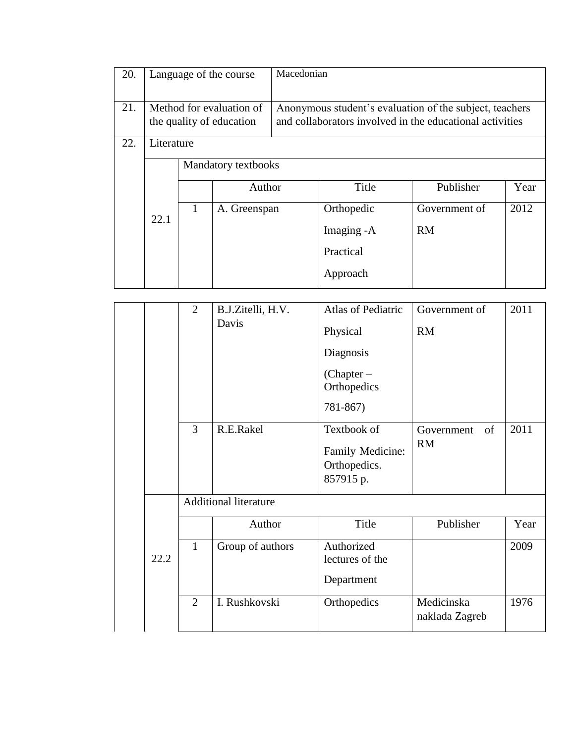| 20. |                                                      | Language of the course |                                                                                                                     | Macedonian |            |               |      |  |
|-----|------------------------------------------------------|------------------------|---------------------------------------------------------------------------------------------------------------------|------------|------------|---------------|------|--|
| 21. | Method for evaluation of<br>the quality of education |                        | Anonymous student's evaluation of the subject, teachers<br>and collaborators involved in the educational activities |            |            |               |      |  |
| 22. | Literature                                           |                        |                                                                                                                     |            |            |               |      |  |
|     |                                                      |                        | <b>Mandatory textbooks</b>                                                                                          |            |            |               |      |  |
|     |                                                      |                        | Author                                                                                                              |            | Title      | Publisher     | Year |  |
|     |                                                      | 1                      | A. Greenspan                                                                                                        |            | Orthopedic | Government of | 2012 |  |
|     | 22.1                                                 |                        |                                                                                                                     |            | Imaging -A | <b>RM</b>     |      |  |
|     |                                                      |                        |                                                                                                                     |            | Practical  |               |      |  |
|     |                                                      |                        |                                                                                                                     |            | Approach   |               |      |  |

|      | $\overline{2}$ | B.J.Zitelli, H.V.            | <b>Atlas of Pediatric</b>                                    | Government of                 | 2011 |
|------|----------------|------------------------------|--------------------------------------------------------------|-------------------------------|------|
|      |                | Davis                        | Physical                                                     | <b>RM</b>                     |      |
|      |                |                              | Diagnosis                                                    |                               |      |
|      |                |                              | $(Chapter -$<br>Orthopedics                                  |                               |      |
|      |                |                              | 781-867)                                                     |                               |      |
|      | 3              | R.E.Rakel                    | Textbook of<br>Family Medicine:<br>Orthopedics.<br>857915 p. | of<br>Government<br><b>RM</b> | 2011 |
|      |                | <b>Additional literature</b> |                                                              |                               |      |
|      |                | Author                       | Title                                                        | Publisher                     | Year |
| 22.2 | $\mathbf{1}$   | Group of authors             | Authorized<br>lectures of the<br>Department                  |                               | 2009 |
|      | $\overline{2}$ | I. Rushkovski                | Orthopedics                                                  | Medicinska<br>naklada Zagreb  | 1976 |